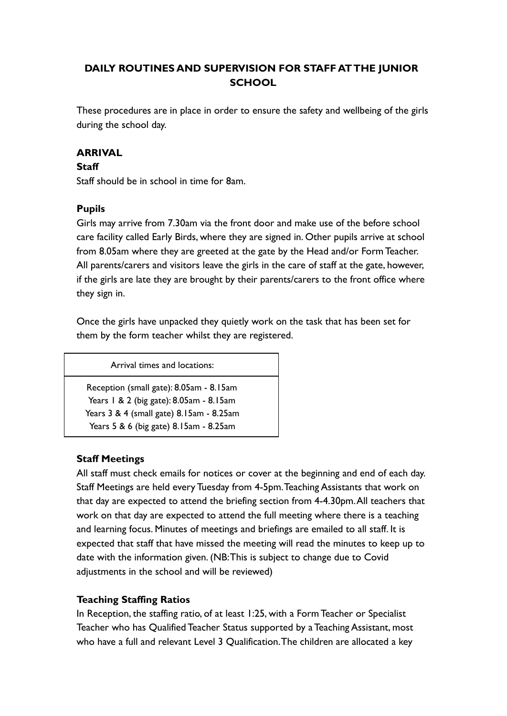# **DAILY ROUTINES AND SUPERVISION FOR STAFF AT THE JUNIOR SCHOOL**

These procedures are in place in order to ensure the safety and wellbeing of the girls during the school day.

### **ARRIVAL**

#### **Staff**

Staff should be in school in time for 8am.

### **Pupils**

Girls may arrive from 7.30am via the front door and make use of the before school care facility called Early Birds, where they are signed in. Other pupils arrive at school from 8.05am where they are greeted at the gate by the Head and/or Form Teacher. All parents/carers and visitors leave the girls in the care of staff at the gate, however, if the girls are late they are brought by their parents/carers to the front office where they sign in.

Once the girls have unpacked they quietly work on the task that has been set for them by the form teacher whilst they are registered.

Arrival times and locations:

Reception (small gate): 8.05am - 8.15am Years 1 & 2 (big gate): 8.05am - 8.15am Years 3 & 4 (small gate) 8.15am - 8.25am Years 5 & 6 (big gate) 8.15am - 8.25am

### **Staff Meetings**

All staff must check emails for notices or cover at the beginning and end of each day. Staff Meetings are held every Tuesday from 4-5pm.Teaching Assistants that work on that day are expected to attend the briefing section from 4-4.30pm.All teachers that work on that day are expected to attend the full meeting where there is a teaching and learning focus. Minutes of meetings and briefings are emailed to all staff. It is expected that staff that have missed the meeting will read the minutes to keep up to date with the information given. (NB:This is subject to change due to Covid adjustments in the school and will be reviewed)

### **Teaching Staffing Ratios**

In Reception, the staffing ratio, of at least 1:25, with a Form Teacher or Specialist Teacher who has Qualified Teacher Status supported by a Teaching Assistant, most who have a full and relevant Level 3 Qualification.The children are allocated a key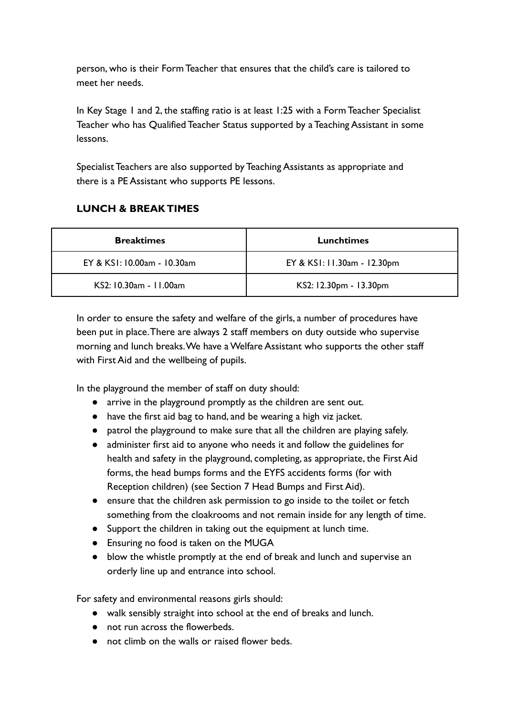person, who is their Form Teacher that ensures that the child's care is tailored to meet her needs.

In Key Stage 1 and 2, the staffing ratio is at least 1:25 with a Form Teacher Specialist Teacher who has Qualified Teacher Status supported by a Teaching Assistant in some lessons.

Specialist Teachers are also supported by Teaching Assistants as appropriate and there is a PE Assistant who supports PE lessons.

# **LUNCH & BREAK TIMES**

| <b>Breaktimes</b>           | <b>Lunchtimes</b>           |
|-----------------------------|-----------------------------|
| EY & KSI: 10.00am - 10.30am | EY & KSI: 11.30am - 12.30pm |
| KS2: 10.30am - 11.00am      | KS2: 12.30pm - 13.30pm      |

In order to ensure the safety and welfare of the girls, a number of procedures have been put in place.There are always 2 staff members on duty outside who supervise morning and lunch breaks.We have a Welfare Assistant who supports the other staff with First Aid and the wellbeing of pupils.

In the playground the member of staff on duty should:

- arrive in the playground promptly as the children are sent out.
- have the first aid bag to hand, and be wearing a high viz jacket.
- patrol the playground to make sure that all the children are playing safely.
- administer first aid to anyone who needs it and follow the guidelines for health and safety in the playground, completing, as appropriate, the First Aid forms, the head bumps forms and the EYFS accidents forms (for with Reception children) (see Section 7 Head Bumps and First Aid).
- ensure that the children ask permission to go inside to the toilet or fetch something from the cloakrooms and not remain inside for any length of time.
- Support the children in taking out the equipment at lunch time.
- Ensuring no food is taken on the MUGA
- blow the whistle promptly at the end of break and lunch and supervise an orderly line up and entrance into school.

For safety and environmental reasons girls should:

- walk sensibly straight into school at the end of breaks and lunch.
- not run across the flowerbeds.
- not climb on the walls or raised flower beds.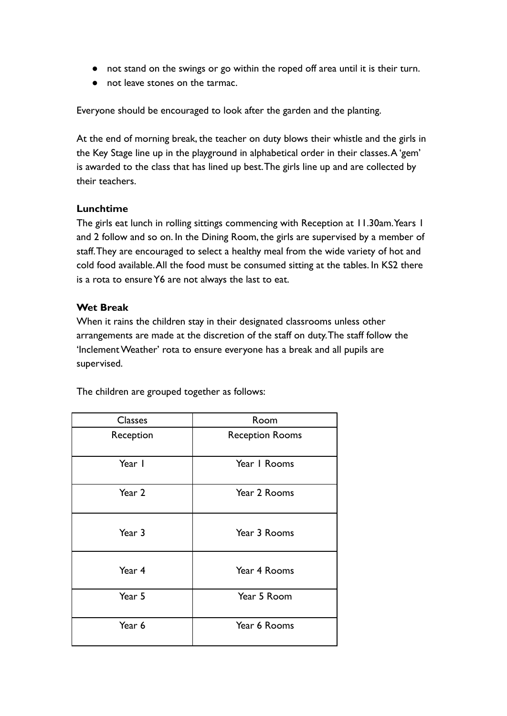- not stand on the swings or go within the roped off area until it is their turn.
- not leave stones on the tarmac.

Everyone should be encouraged to look after the garden and the planting.

At the end of morning break, the teacher on duty blows their whistle and the girls in the Key Stage line up in the playground in alphabetical order in their classes.A 'gem' is awarded to the class that has lined up best.The girls line up and are collected by their teachers.

### **Lunchtime**

The girls eat lunch in rolling sittings commencing with Reception at 11.30am.Years 1 and 2 follow and so on. In the Dining Room, the girls are supervised by a member of staff.They are encouraged to select a healthy meal from the wide variety of hot and cold food available.All the food must be consumed sitting at the tables. In KS2 there is a rota to ensure Y6 are not always the last to eat.

### **Wet Break**

When it rains the children stay in their designated classrooms unless other arrangements are made at the discretion of the staff on duty.The staff follow the 'Inclement Weather' rota to ensure everyone has a break and all pupils are supervised.

The children are grouped together as follows:

| <b>Classes</b> | Room                   |
|----------------|------------------------|
| Reception      | <b>Reception Rooms</b> |
| Year I         | Year I Rooms           |
| Year 2         | Year 2 Rooms           |
| Year 3         | Year 3 Rooms           |
| Year 4         | Year 4 Rooms           |
| Year 5         | Year 5 Room            |
| Year 6         | Year 6 Rooms           |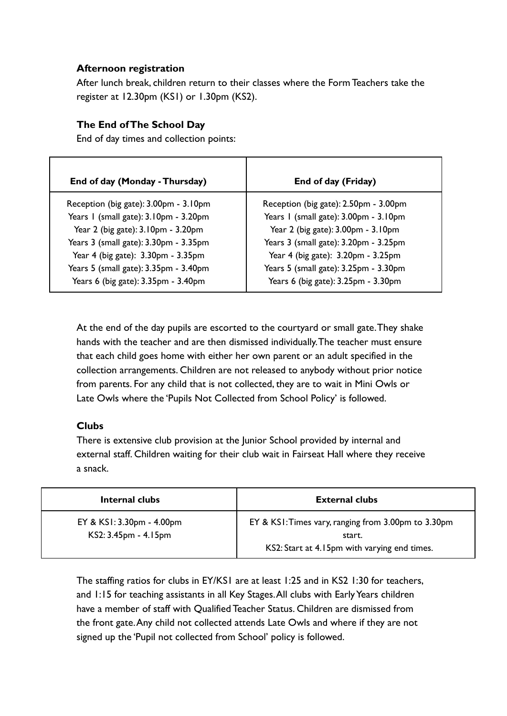### **Afternoon registration**

After lunch break, children return to their classes where the Form Teachers take the register at 12.30pm (KS1) or 1.30pm (KS2).

### **The End of The School Day**

End of day times and collection points:

| End of day (Monday - Thursday)                                               | End of day (Friday)                                                          |
|------------------------------------------------------------------------------|------------------------------------------------------------------------------|
| Reception (big gate): 3.00pm - 3.10pm                                        | Reception (big gate): 2.50pm - 3.00pm                                        |
| Years I (small gate): 3.10pm - 3.20pm                                        | Years I (small gate): 3.00pm - 3.10pm                                        |
| Year 2 (big gate): 3.10pm - 3.20pm                                           | Year 2 (big gate): 3.00pm - 3.10pm                                           |
| Years 3 (small gate): 3.30pm - 3.35pm                                        | Years 3 (small gate): 3.20pm - 3.25pm                                        |
| Year 4 (big gate): 3.30pm - 3.35pm                                           | Year 4 (big gate): 3.20pm - 3.25pm                                           |
| Years 5 (small gate): 3.35pm - 3.40pm<br>Years 6 (big gate): 3.35pm - 3.40pm | Years 5 (small gate): 3.25pm - 3.30pm<br>Years 6 (big gate): 3.25pm - 3.30pm |

At the end of the day pupils are escorted to the courtyard or small gate.They shake hands with the teacher and are then dismissed individually.The teacher must ensure that each child goes home with either her own parent or an adult specified in the collection arrangements. Children are not released to anybody without prior notice from parents. For any child that is not collected, they are to wait in Mini Owls or Late Owls where the 'Pupils Not Collected from School Policy' is followed.

### **Clubs**

There is extensive club provision at the Junior School provided by internal and external staff. Children waiting for their club wait in Fairseat Hall where they receive a snack.

| Internal clubs                                    | <b>External clubs</b>                                                                                         |
|---------------------------------------------------|---------------------------------------------------------------------------------------------------------------|
| EY & KSI: 3.30pm - 4.00pm<br>KS2: 3.45pm - 4.15pm | EY & KSI: Times vary, ranging from 3.00pm to 3.30pm<br>start.<br>KS2: Start at 4.15pm with varying end times. |

The staffing ratios for clubs in EY/KS1 are at least 1:25 and in KS2 1:30 for teachers, and 1:15 for teaching assistants in all Key Stages.All clubs with Early Years children have a member of staff with Qualified Teacher Status. Children are dismissed from the front gate.Any child not collected attends Late Owls and where if they are not signed up the 'Pupil not collected from School' policy is followed.